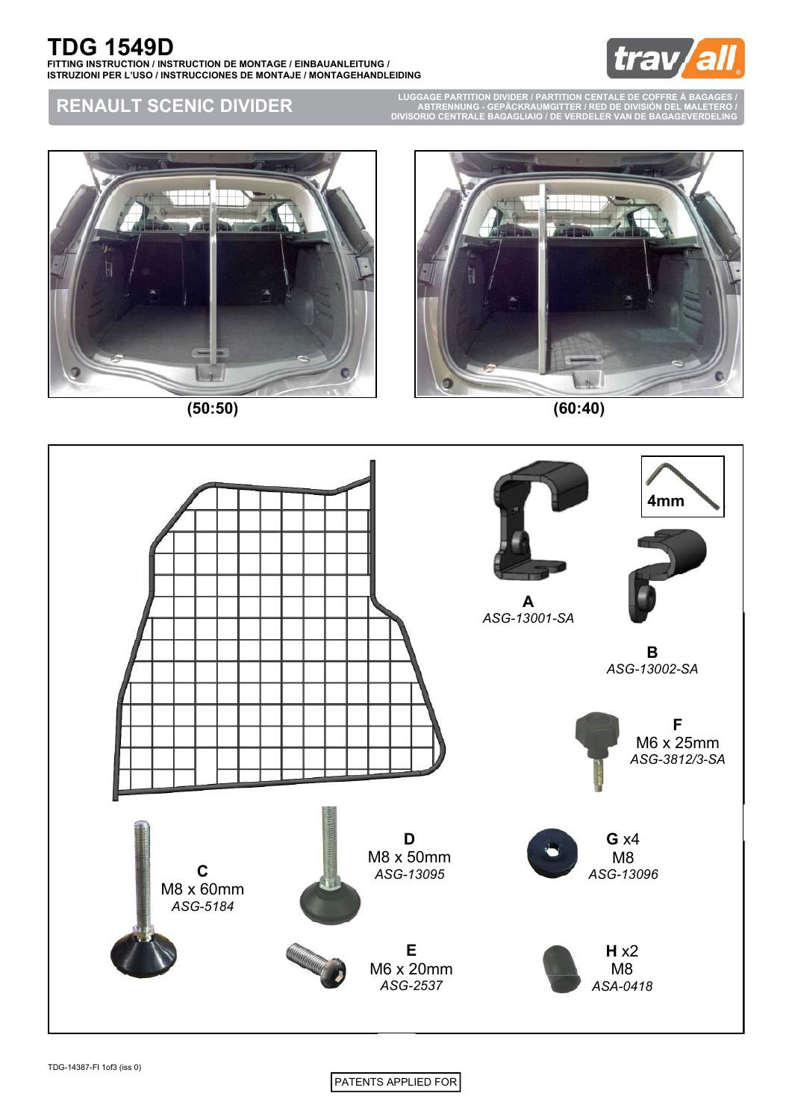

### **RENAULT SCENIC DIVIDER**

**LUGGAGE PARTITION DIVIDER / PARTITION CENTALE DE COFFRE À BAGAGES / ABTRENNUNG - GEPÄCKRAUMGITTER / RED DE DIVISIÓN DEL MALETERO / DIVISORIO CENTRALE BAGAGLIAIO / DE VERDELER VAN DE BAGAGEVERDELING**



**(50:50) (60:40)**





PATENTS APPLIED FOR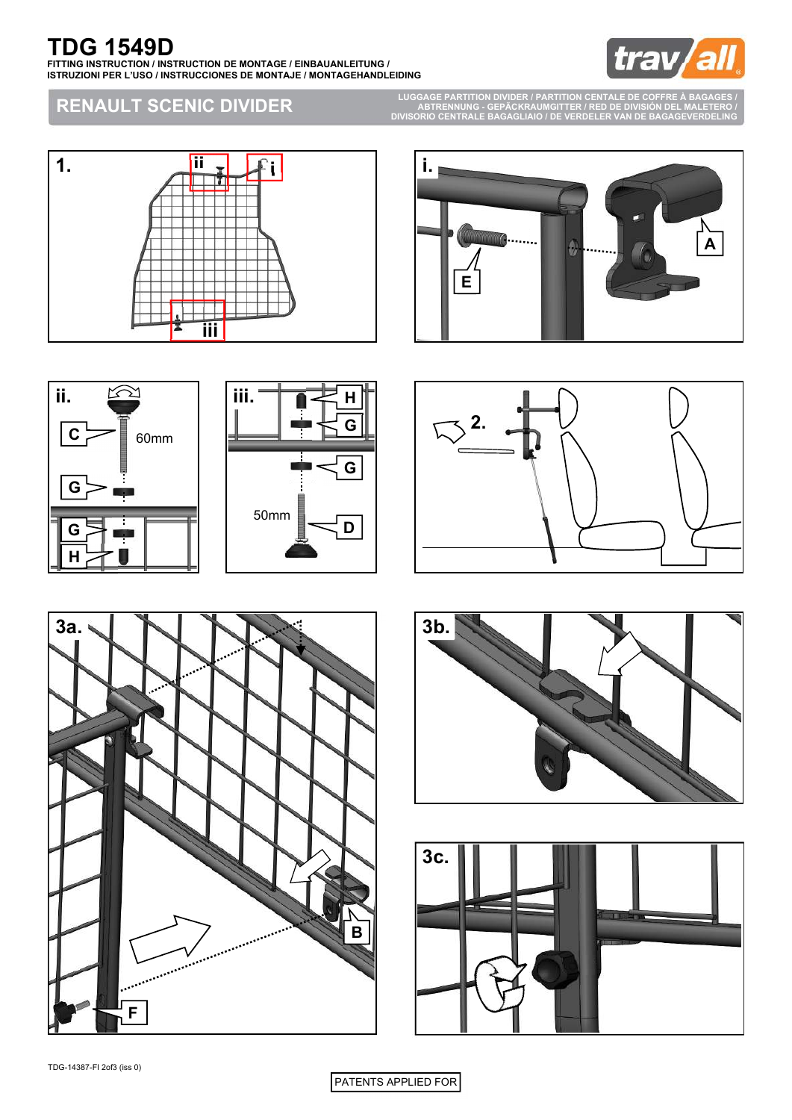# **TDG 1549D**

**FITTING INSTRUCTION / INSTRUCTION DE MONTAGE / EINBAUANLEITUNG / ISTRUZIONI PER L'USO / INSTRUCCIONES DE MONTAJE / MONTAGEHANDLEIDING**



### **RENAULT SCENIC DIVIDER**

**LUGGAGE PARTITION DIVIDER / PARTITION CENTALE DE COFFRE À BAGAGES / ABTRENNUNG - GEPÄCKRAUMGITTER / RED DE DIVISIÓN DEL MALETERO / DIVISORIO CENTRALE BAGAGLIAIO / DE VERDELER VAN DE BAGAGEVERDELING**